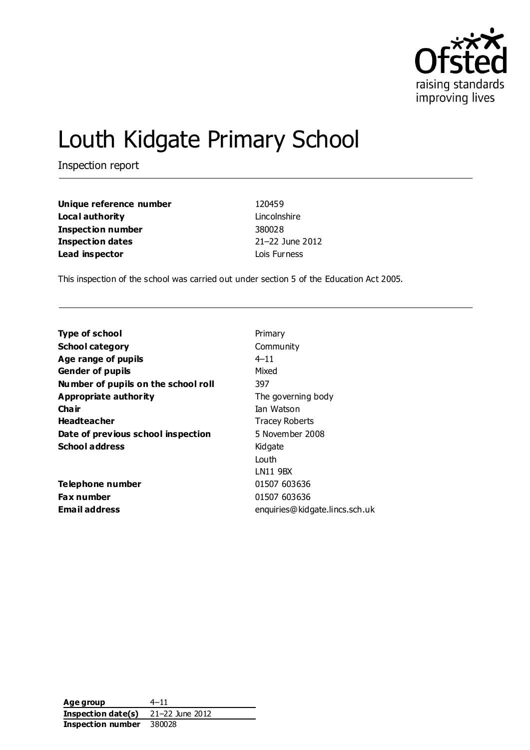

# Louth Kidgate Primary School

Inspection report

| Unique reference number | 120459          |
|-------------------------|-----------------|
| Local authority         | Lincolnshire    |
| Inspection number       | 380028          |
| <b>Inspection dates</b> | 21-22 June 2012 |
| Lead inspector          | Lois Furness    |

This inspection of the school was carried out under section 5 of the Education Act 2005.

| <b>Type of school</b>               | Primary                        |
|-------------------------------------|--------------------------------|
| <b>School category</b>              | Community                      |
| Age range of pupils                 | $4 - 11$                       |
| <b>Gender of pupils</b>             | Mixed                          |
| Number of pupils on the school roll | 397                            |
| Appropriate authority               | The governing body             |
| Cha ir                              | Ian Watson                     |
| <b>Headteacher</b>                  | <b>Tracey Roberts</b>          |
| Date of previous school inspection  | 5 November 2008                |
| <b>School address</b>               | Kidgate                        |
|                                     | Louth                          |
|                                     | LN11 9BX                       |
| Telephone number                    | 01507 603636                   |
| Fax number                          | 01507 603636                   |
| <b>Email address</b>                | enquiries@kidgate.lincs.sch.uk |
|                                     |                                |

**Age group** 4–11 **Inspection date(s)** 21–22 June 2012 **Inspection number** 380028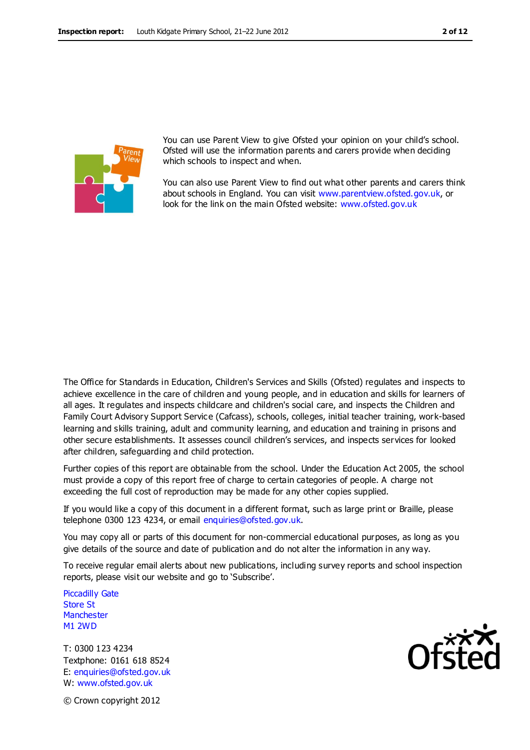

You can use Parent View to give Ofsted your opinion on your child's school. Ofsted will use the information parents and carers provide when deciding which schools to inspect and when.

You can also use Parent View to find out what other parents and carers think about schools in England. You can visit [www.parentview.ofsted.gov.uk,](http://www.parentview.ofsted.gov.uk/) or look for the link on the main Ofsted website: [www.ofsted.gov.uk](http://www.ofsted.gov.uk/)

The Office for Standards in Education, Children's Services and Skills (Ofsted) regulates and inspects to achieve excellence in the care of children and young people, and in education and skills for learners of all ages. It regulates and inspects childcare and children's social care, and inspects the Children and Family Court Advisory Support Service (Cafcass), schools, colleges, initial teacher training, work-based learning and skills training, adult and community learning, and education and training in prisons and other secure establishments. It assesses council children's services, and inspects services for looked after children, safeguarding and child protection.

Further copies of this report are obtainable from the school. Under the Education Act 2005, the school must provide a copy of this report free of charge to certain categories of people. A charge not exceeding the full cost of reproduction may be made for any other copies supplied.

If you would like a copy of this document in a different format, such as large print or Braille, please telephone 0300 123 4234, or email enquiries@ofsted.gov.uk.

You may copy all or parts of this document for non-commercial educational purposes, as long as you give details of the source and date of publication and do not alter the information in any way.

To receive regular email alerts about new publications, including survey reports and school inspection reports, please visit our website and go to 'Subscribe'.

Piccadilly Gate Store St **Manchester** M1 2WD

T: 0300 123 4234 Textphone: 0161 618 8524 E: enquiries@ofsted.gov.uk W: www.ofsted.gov.uk



© Crown copyright 2012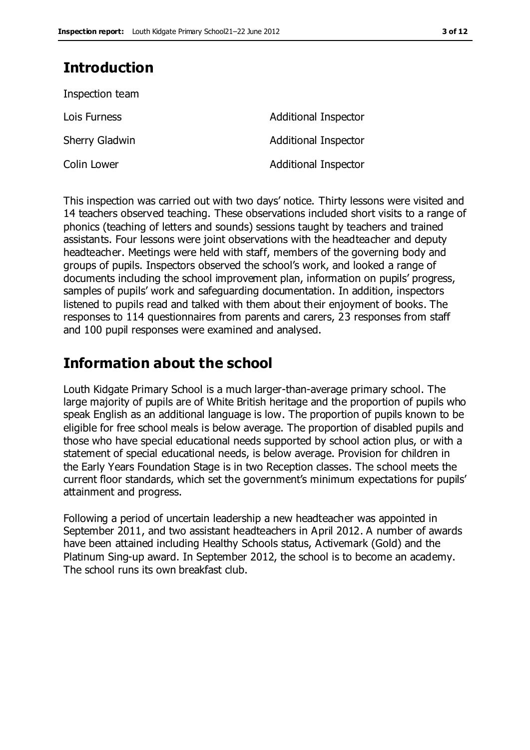# **Introduction**

| Inspection team       |                             |
|-----------------------|-----------------------------|
| Lois Furness          | Additional Inspector        |
| <b>Sherry Gladwin</b> | <b>Additional Inspector</b> |
| Colin Lower           | <b>Additional Inspector</b> |

This inspection was carried out with two days' notice. Thirty lessons were visited and 14 teachers observed teaching. These observations included short visits to a range of phonics (teaching of letters and sounds) sessions taught by teachers and trained assistants. Four lessons were joint observations with the headteacher and deputy headteacher. Meetings were held with staff, members of the governing body and groups of pupils. Inspectors observed the school's work, and looked a range of documents including the school improvement plan, information on pupils' progress, samples of pupils' work and safeguarding documentation. In addition, inspectors listened to pupils read and talked with them about their enjoyment of books. The responses to 114 questionnaires from parents and carers, 23 responses from staff and 100 pupil responses were examined and analysed.

# **Information about the school**

Louth Kidgate Primary School is a much larger-than-average primary school. The large majority of pupils are of White British heritage and the proportion of pupils who speak English as an additional language is low. The proportion of pupils known to be eligible for free school meals is below average. The proportion of disabled pupils and those who have special educational needs supported by school action plus, or with a statement of special educational needs, is below average. Provision for children in the Early Years Foundation Stage is in two Reception classes. The school meets the current floor standards, which set the government's minimum expectations for pupils' attainment and progress.

Following a period of uncertain leadership a new headteacher was appointed in September 2011, and two assistant headteachers in April 2012. A number of awards have been attained including Healthy Schools status, Activemark (Gold) and the Platinum Sing-up award. In September 2012, the school is to become an academy. The school runs its own breakfast club.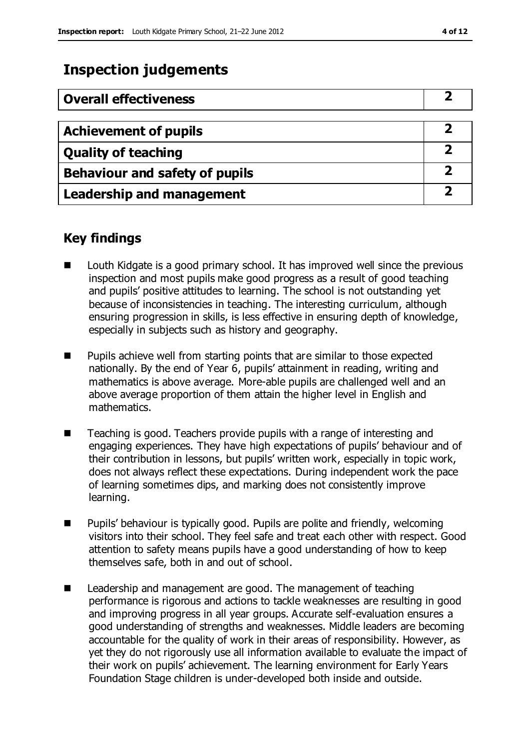# **Inspection judgements**

| <b>Overall effectiveness</b>     |   |
|----------------------------------|---|
|                                  |   |
| <b>Achievement of pupils</b>     |   |
| <b>Quality of teaching</b>       |   |
| Behaviour and safety of pupils   | 2 |
| <b>Leadership and management</b> |   |

## **Key findings**

- Louth Kidgate is a good primary school. It has improved well since the previous inspection and most pupils make good progress as a result of good teaching and pupils' positive attitudes to learning. The school is not outstanding yet because of inconsistencies in teaching. The interesting curriculum, although ensuring progression in skills, is less effective in ensuring depth of knowledge, especially in subjects such as history and geography.
- **Pupils achieve well from starting points that are similar to those expected** nationally. By the end of Year 6, pupils' attainment in reading, writing and mathematics is above average. More-able pupils are challenged well and an above average proportion of them attain the higher level in English and mathematics.
- Teaching is good. Teachers provide pupils with a range of interesting and engaging experiences. They have high expectations of pupils' behaviour and of their contribution in lessons, but pupils' written work, especially in topic work, does not always reflect these expectations. During independent work the pace of learning sometimes dips, and marking does not consistently improve learning.
- **Pupils'** behaviour is typically good. Pupils are polite and friendly, welcoming visitors into their school. They feel safe and treat each other with respect. Good attention to safety means pupils have a good understanding of how to keep themselves safe, both in and out of school.
- Leadership and management are good. The management of teaching performance is rigorous and actions to tackle weaknesses are resulting in good and improving progress in all year groups. Accurate self-evaluation ensures a good understanding of strengths and weaknesses. Middle leaders are becoming accountable for the quality of work in their areas of responsibility. However, as yet they do not rigorously use all information available to evaluate the impact of their work on pupils' achievement. The learning environment for Early Years Foundation Stage children is under-developed both inside and outside.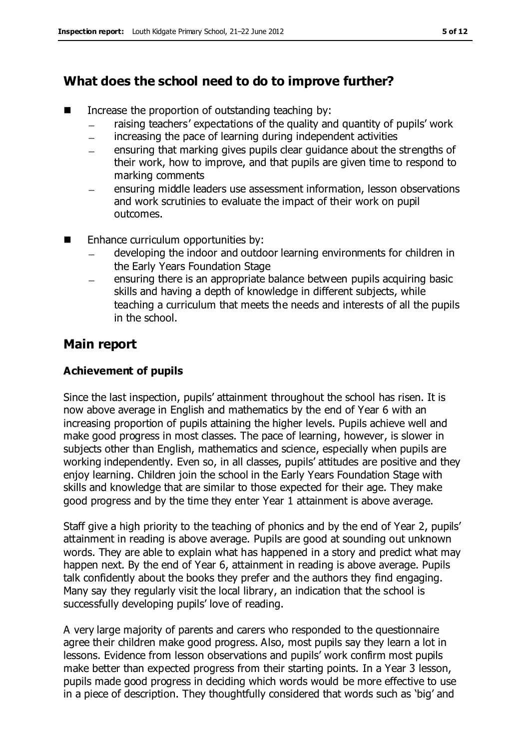# **What does the school need to do to improve further?**

- $\blacksquare$  Increase the proportion of outstanding teaching by:
	- raising teachers' expectations of the quality and quantity of pupils' work
	- increasing the pace of learning during independent activities
	- ensuring that marking gives pupils clear guidance about the strengths of  $\equiv$ their work, how to improve, and that pupils are given time to respond to marking comments
	- ensuring middle leaders use assessment information, lesson observations and work scrutinies to evaluate the impact of their work on pupil outcomes.
- **Enhance curriculum opportunities by:** 
	- developing the indoor and outdoor learning environments for children in the Early Years Foundation Stage
	- ensuring there is an appropriate balance between pupils acquiring basic skills and having a depth of knowledge in different subjects, while teaching a curriculum that meets the needs and interests of all the pupils in the school.

# **Main report**

### **Achievement of pupils**

Since the last inspection, pupils' attainment throughout the school has risen. It is now above average in English and mathematics by the end of Year 6 with an increasing proportion of pupils attaining the higher levels. Pupils achieve well and make good progress in most classes. The pace of learning, however, is slower in subjects other than English, mathematics and science, especially when pupils are working independently. Even so, in all classes, pupils' attitudes are positive and they enjoy learning. Children join the school in the Early Years Foundation Stage with skills and knowledge that are similar to those expected for their age. They make good progress and by the time they enter Year 1 attainment is above average.

Staff give a high priority to the teaching of phonics and by the end of Year 2, pupils' attainment in reading is above average. Pupils are good at sounding out unknown words. They are able to explain what has happened in a story and predict what may happen next. By the end of Year 6, attainment in reading is above average. Pupils talk confidently about the books they prefer and the authors they find engaging. Many say they regularly visit the local library, an indication that the school is successfully developing pupils' love of reading.

A very large majority of parents and carers who responded to the questionnaire agree their children make good progress. Also, most pupils say they learn a lot in lessons. Evidence from lesson observations and pupils' work confirm most pupils make better than expected progress from their starting points. In a Year 3 lesson, pupils made good progress in deciding which words would be more effective to use in a piece of description. They thoughtfully considered that words such as 'big' and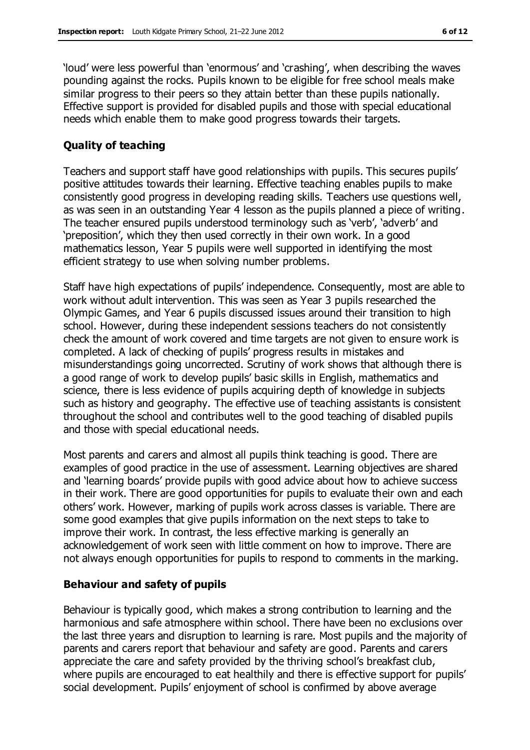'loud' were less powerful than 'enormous' and 'crashing', when describing the waves pounding against the rocks. Pupils known to be eligible for free school meals make similar progress to their peers so they attain better than these pupils nationally. Effective support is provided for disabled pupils and those with special educational needs which enable them to make good progress towards their targets.

#### **Quality of teaching**

Teachers and support staff have good relationships with pupils. This secures pupils' positive attitudes towards their learning. Effective teaching enables pupils to make consistently good progress in developing reading skills. Teachers use questions well, as was seen in an outstanding Year 4 lesson as the pupils planned a piece of writing. The teacher ensured pupils understood terminology such as 'verb', 'adverb' and 'preposition', which they then used correctly in their own work. In a good mathematics lesson, Year 5 pupils were well supported in identifying the most efficient strategy to use when solving number problems.

Staff have high expectations of pupils' independence. Consequently, most are able to work without adult intervention. This was seen as Year 3 pupils researched the Olympic Games, and Year 6 pupils discussed issues around their transition to high school. However, during these independent sessions teachers do not consistently check the amount of work covered and time targets are not given to ensure work is completed. A lack of checking of pupils' progress results in mistakes and misunderstandings going uncorrected. Scrutiny of work shows that although there is a good range of work to develop pupils' basic skills in English, mathematics and science, there is less evidence of pupils acquiring depth of knowledge in subjects such as history and geography. The effective use of teaching assistants is consistent throughout the school and contributes well to the good teaching of disabled pupils and those with special educational needs.

Most parents and carers and almost all pupils think teaching is good. There are examples of good practice in the use of assessment. Learning objectives are shared and 'learning boards' provide pupils with good advice about how to achieve success in their work. There are good opportunities for pupils to evaluate their own and each others' work. However, marking of pupils work across classes is variable. There are some good examples that give pupils information on the next steps to take to improve their work. In contrast, the less effective marking is generally an acknowledgement of work seen with little comment on how to improve. There are not always enough opportunities for pupils to respond to comments in the marking.

#### **Behaviour and safety of pupils**

Behaviour is typically good, which makes a strong contribution to learning and the harmonious and safe atmosphere within school. There have been no exclusions over the last three years and disruption to learning is rare. Most pupils and the majority of parents and carers report that behaviour and safety are good. Parents and carers appreciate the care and safety provided by the thriving school's breakfast club, where pupils are encouraged to eat healthily and there is effective support for pupils' social development. Pupils' enjoyment of school is confirmed by above average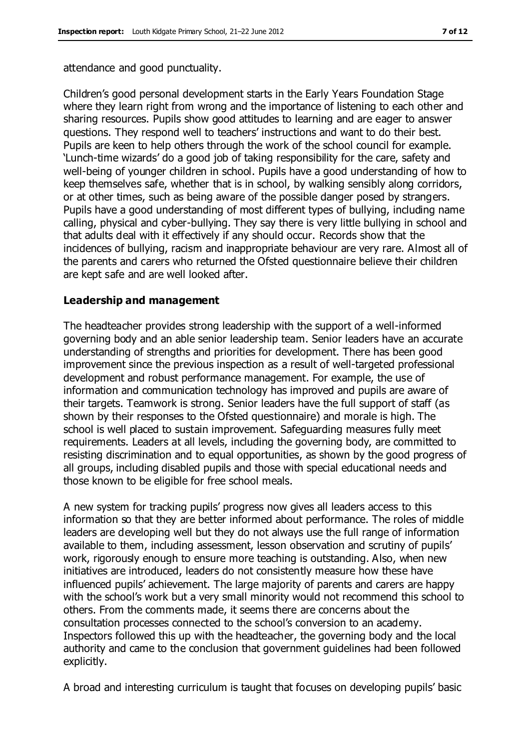attendance and good punctuality.

Children's good personal development starts in the Early Years Foundation Stage where they learn right from wrong and the importance of listening to each other and sharing resources. Pupils show good attitudes to learning and are eager to answer questions. They respond well to teachers' instructions and want to do their best. Pupils are keen to help others through the work of the school council for example. 'Lunch-time wizards' do a good job of taking responsibility for the care, safety and well-being of younger children in school. Pupils have a good understanding of how to keep themselves safe, whether that is in school, by walking sensibly along corridors, or at other times, such as being aware of the possible danger posed by strangers. Pupils have a good understanding of most different types of bullying, including name calling, physical and cyber-bullying. They say there is very little bullying in school and that adults deal with it effectively if any should occur. Records show that the incidences of bullying, racism and inappropriate behaviour are very rare. Almost all of the parents and carers who returned the Ofsted questionnaire believe their children are kept safe and are well looked after.

#### **Leadership and management**

The headteacher provides strong leadership with the support of a well-informed governing body and an able senior leadership team. Senior leaders have an accurate understanding of strengths and priorities for development. There has been good improvement since the previous inspection as a result of well-targeted professional development and robust performance management. For example, the use of information and communication technology has improved and pupils are aware of their targets. Teamwork is strong. Senior leaders have the full support of staff (as shown by their responses to the Ofsted questionnaire) and morale is high. The school is well placed to sustain improvement. Safeguarding measures fully meet requirements. Leaders at all levels, including the governing body, are committed to resisting discrimination and to equal opportunities, as shown by the good progress of all groups, including disabled pupils and those with special educational needs and those known to be eligible for free school meals.

A new system for tracking pupils' progress now gives all leaders access to this information so that they are better informed about performance. The roles of middle leaders are developing well but they do not always use the full range of information available to them, including assessment, lesson observation and scrutiny of pupils' work, rigorously enough to ensure more teaching is outstanding. Also, when new initiatives are introduced, leaders do not consistently measure how these have influenced pupils' achievement. The large majority of parents and carers are happy with the school's work but a very small minority would not recommend this school to others. From the comments made, it seems there are concerns about the consultation processes connected to the school's conversion to an academy. Inspectors followed this up with the headteacher, the governing body and the local authority and came to the conclusion that government guidelines had been followed explicitly.

A broad and interesting curriculum is taught that focuses on developing pupils' basic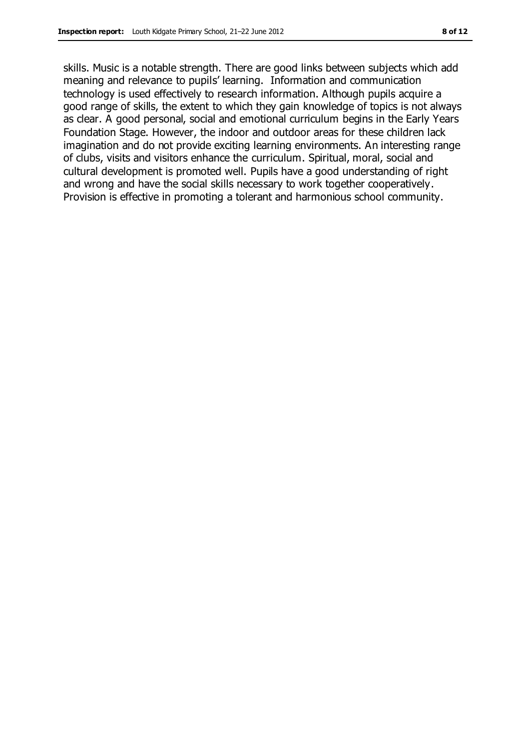skills. Music is a notable strength. There are good links between subjects which add meaning and relevance to pupils' learning. Information and communication technology is used effectively to research information. Although pupils acquire a good range of skills, the extent to which they gain knowledge of topics is not always as clear. A good personal, social and emotional curriculum begins in the Early Years Foundation Stage. However, the indoor and outdoor areas for these children lack imagination and do not provide exciting learning environments. An interesting range of clubs, visits and visitors enhance the curriculum. Spiritual, moral, social and cultural development is promoted well. Pupils have a good understanding of right and wrong and have the social skills necessary to work together cooperatively. Provision is effective in promoting a tolerant and harmonious school community.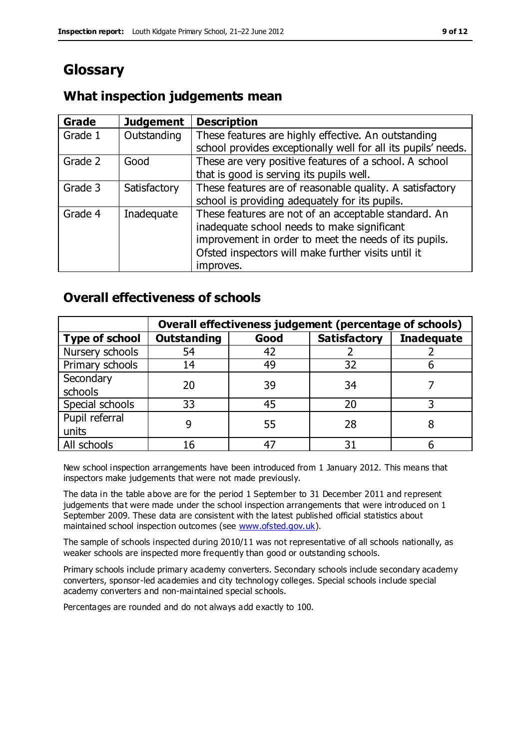# **Glossary**

#### **Grade Judgement Description** Grade  $1$  | Outstanding | These features are highly effective. An outstanding school provides exceptionally well for all its pupils' needs. Grade 2 Good These are very positive features of a school. A school that is good is serving its pupils well. Grade 3  $\parallel$  Satisfactory  $\parallel$  These features are of reasonable quality. A satisfactory school is providing adequately for its pupils. Grade 4  $\parallel$  Inadequate  $\parallel$  These features are not of an acceptable standard. An inadequate school needs to make significant improvement in order to meet the needs of its pupils. Ofsted inspectors will make further visits until it improves.

# **What inspection judgements mean**

# **Overall effectiveness of schools**

|                       | Overall effectiveness judgement (percentage of schools) |      |                     |                   |
|-----------------------|---------------------------------------------------------|------|---------------------|-------------------|
| <b>Type of school</b> | <b>Outstanding</b>                                      | Good | <b>Satisfactory</b> | <b>Inadequate</b> |
| Nursery schools       | 54                                                      | 42   |                     |                   |
| Primary schools       | 14                                                      | 49   | 32                  |                   |
| Secondary             | 20                                                      | 39   | 34                  |                   |
| schools               |                                                         |      |                     |                   |
| Special schools       | 33                                                      | 45   | 20                  |                   |
| Pupil referral        |                                                         | 55   | 28                  |                   |
| units                 |                                                         |      |                     |                   |
| All schools           |                                                         |      | 3٠                  |                   |

New school inspection arrangements have been introduced from 1 January 2012. This means that inspectors make judgements that were not made previously.

The data in the table above are for the period 1 September to 31 December 2011 and represent judgements that were made under the school inspection arrangements that were introduced on 1 September 2009. These data are consistent with the latest published official statistics about maintained school inspection outcomes (see [www.ofsted.gov.uk\)](http://www.ofsted.gov.uk/).

The sample of schools inspected during 2010/11 was not representative of all schools nationally, as weaker schools are inspected more frequently than good or outstanding schools.

Primary schools include primary academy converters. Secondary schools include secondary academy converters, sponsor-led academies and city technology colleges. Special schools include special academy converters and non-maintained special schools.

Percentages are rounded and do not always add exactly to 100.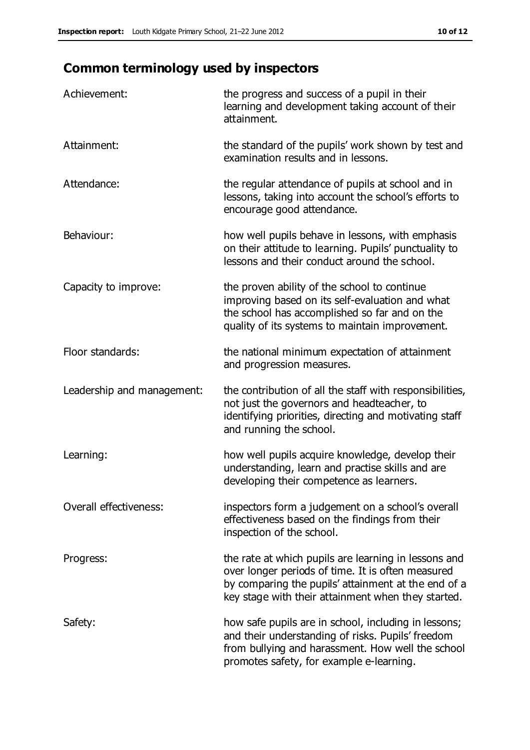# **Common terminology used by inspectors**

| Achievement:               | the progress and success of a pupil in their<br>learning and development taking account of their<br>attainment.                                                                                                        |
|----------------------------|------------------------------------------------------------------------------------------------------------------------------------------------------------------------------------------------------------------------|
| Attainment:                | the standard of the pupils' work shown by test and<br>examination results and in lessons.                                                                                                                              |
| Attendance:                | the regular attendance of pupils at school and in<br>lessons, taking into account the school's efforts to<br>encourage good attendance.                                                                                |
| Behaviour:                 | how well pupils behave in lessons, with emphasis<br>on their attitude to learning. Pupils' punctuality to<br>lessons and their conduct around the school.                                                              |
| Capacity to improve:       | the proven ability of the school to continue<br>improving based on its self-evaluation and what<br>the school has accomplished so far and on the<br>quality of its systems to maintain improvement.                    |
| Floor standards:           | the national minimum expectation of attainment<br>and progression measures.                                                                                                                                            |
| Leadership and management: | the contribution of all the staff with responsibilities,<br>not just the governors and headteacher, to<br>identifying priorities, directing and motivating staff<br>and running the school.                            |
| Learning:                  | how well pupils acquire knowledge, develop their<br>understanding, learn and practise skills and are<br>developing their competence as learners.                                                                       |
| Overall effectiveness:     | inspectors form a judgement on a school's overall<br>effectiveness based on the findings from their<br>inspection of the school.                                                                                       |
| Progress:                  | the rate at which pupils are learning in lessons and<br>over longer periods of time. It is often measured<br>by comparing the pupils' attainment at the end of a<br>key stage with their attainment when they started. |
| Safety:                    | how safe pupils are in school, including in lessons;<br>and their understanding of risks. Pupils' freedom<br>from bullying and harassment. How well the school<br>promotes safety, for example e-learning.             |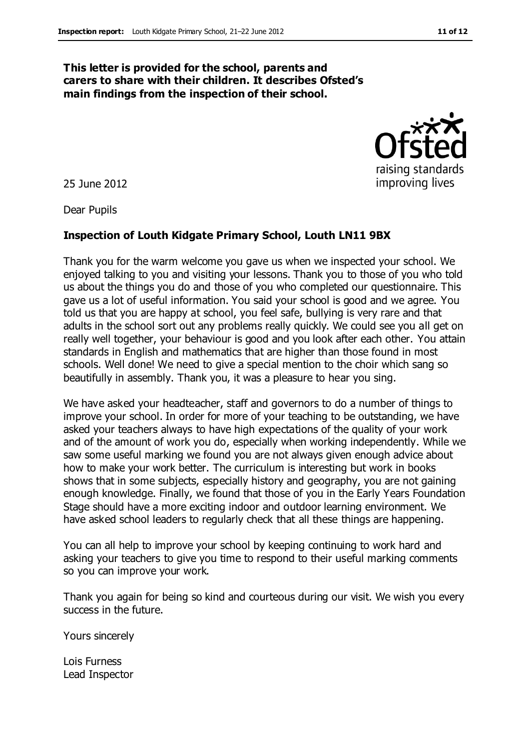#### **This letter is provided for the school, parents and carers to share with their children. It describes Ofsted's main findings from the inspection of their school.**

25 June 2012

Dear Pupils

#### **Inspection of Louth Kidgate Primary School, Louth LN11 9BX**

Thank you for the warm welcome you gave us when we inspected your school. We enjoyed talking to you and visiting your lessons. Thank you to those of you who told us about the things you do and those of you who completed our questionnaire. This gave us a lot of useful information. You said your school is good and we agree. You told us that you are happy at school, you feel safe, bullying is very rare and that adults in the school sort out any problems really quickly. We could see you all get on really well together, your behaviour is good and you look after each other. You attain standards in English and mathematics that are higher than those found in most schools. Well done! We need to give a special mention to the choir which sang so beautifully in assembly. Thank you, it was a pleasure to hear you sing.

We have asked your headteacher, staff and governors to do a number of things to improve your school. In order for more of your teaching to be outstanding, we have asked your teachers always to have high expectations of the quality of your work and of the amount of work you do, especially when working independently. While we saw some useful marking we found you are not always given enough advice about how to make your work better. The curriculum is interesting but work in books shows that in some subjects, especially history and geography, you are not gaining enough knowledge. Finally, we found that those of you in the Early Years Foundation Stage should have a more exciting indoor and outdoor learning environment. We have asked school leaders to regularly check that all these things are happening.

You can all help to improve your school by keeping continuing to work hard and asking your teachers to give you time to respond to their useful marking comments so you can improve your work.

Thank you again for being so kind and courteous during our visit. We wish you every success in the future.

Yours sincerely

Lois Furness Lead Inspector